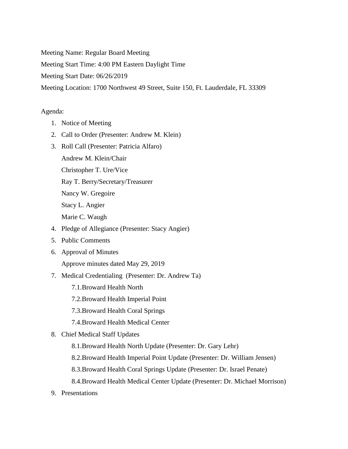Meeting Name: Regular Board Meeting

Meeting Start Time: 4:00 PM Eastern Daylight Time

Meeting Start Date: 06/26/2019

Meeting Location: 1700 Northwest 49 Street, Suite 150, Ft. Lauderdale, FL 33309

## Agenda:

- 1. Notice of Meeting
- 2. Call to Order (Presenter: Andrew M. Klein)
- 3. Roll Call (Presenter: Patricia Alfaro)
	- Andrew M. Klein/Chair

Christopher T. Ure/Vice

Ray T. Berry/Secretary/Treasurer

Nancy W. Gregoire

Stacy L. Angier

Marie C. Waugh

- 4. Pledge of Allegiance (Presenter: Stacy Angier)
- 5. Public Comments
- 6. Approval of Minutes

Approve minutes dated May 29, 2019

- 7. Medical Credentialing (Presenter: Dr. Andrew Ta)
	- 7.1.Broward Health North
	- 7.2.Broward Health Imperial Point
	- 7.3.Broward Health Coral Springs
	- 7.4.Broward Health Medical Center
- 8. Chief Medical Staff Updates
	- 8.1.Broward Health North Update (Presenter: Dr. Gary Lehr)
	- 8.2.Broward Health Imperial Point Update (Presenter: Dr. William Jensen)
	- 8.3.Broward Health Coral Springs Update (Presenter: Dr. Israel Penate)
	- 8.4.Broward Health Medical Center Update (Presenter: Dr. Michael Morrison)
- 9. Presentations